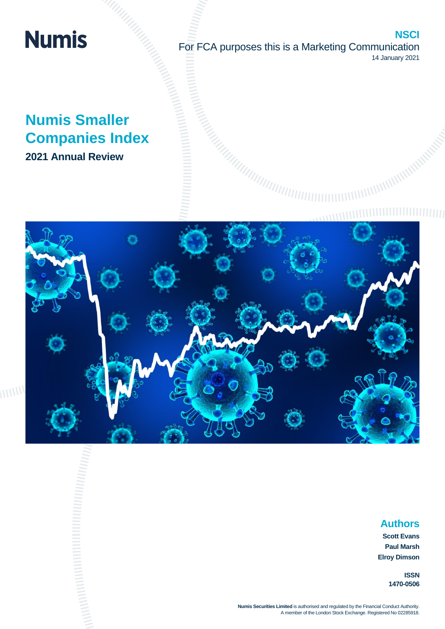## **Numis**

**NSCI** For FCA purposes this is a Marketing Communication 14 January 2021

**Companies Index 2021 Annual Review**

# **Numis Smaller**



## **Authors**

**Scott Evans Paul Marsh Elroy Dimson**

> **ISSN 1470-0506**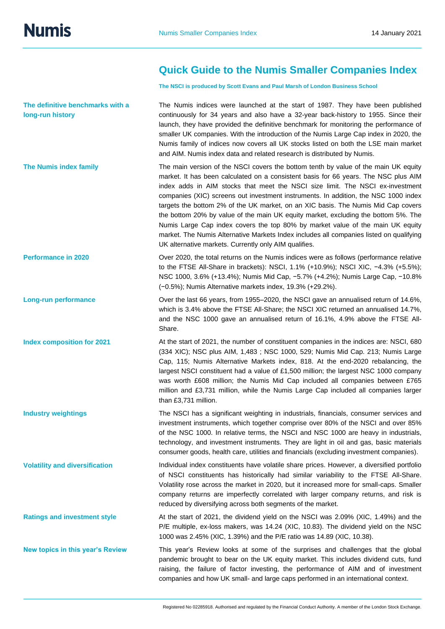**Numis** 

**long-run history**

## **Quick Guide to the Numis Smaller Companies Index**

**The NSCI is produced by Scott Evans and Paul Marsh of London Business School**

The Numis indices were launched at the start of 1987. They have been published continuously for 34 years and also have a 32-year back-history to 1955. Since their launch, they have provided the definitive benchmark for monitoring the performance of smaller UK companies. With the introduction of the Numis Large Cap index in 2020, the Numis family of indices now covers all UK stocks listed on both the LSE main market and AIM. Numis index data and related research is distributed by Numis.

The main version of the NSCI covers the bottom tenth by value of the main UK equity market. It has been calculated on a consistent basis for 66 years. The NSC plus AIM index adds in AIM stocks that meet the NSCI size limit. The NSCI ex-investment companies (XIC) screens out investment instruments. In addition, the NSC 1000 index targets the bottom 2% of the UK market, on an XIC basis. The Numis Mid Cap covers the bottom 20% by value of the main UK equity market, excluding the bottom 5%. The Numis Large Cap index covers the top 80% by market value of the main UK equity market. The Numis Alternative Markets Index includes all companies listed on qualifying UK alternative markets. Currently only AIM qualifies.

Over 2020, the total returns on the Numis indices were as follows (performance relative to the FTSE All-Share in brackets): NSCI, 1.1% (+10.9%); NSCI XIC, −4.3% (+5.5%); NSC 1000, 3.6% (+13.4%); Numis Mid Cap, −5.7% (+4.2%); Numis Large Cap, −10.8% (−0.5%); Numis Alternative markets index, 19.3% (+29.2%).

Over the last 66 years, from 1955–2020, the NSCI gave an annualised return of 14.6%, which is 3.4% above the FTSE All-Share; the NSCI XIC returned an annualised 14.7%, and the NSC 1000 gave an annualised return of 16.1%, 4.9% above the FTSE All-Share.

At the start of 2021, the number of constituent companies in the indices are: NSCI, 680 (334 XIC); NSC plus AIM, 1,483 ; NSC 1000, 529; Numis Mid Cap. 213; Numis Large Cap, 115; Numis Alternative Markets index, 818. At the end-2020 rebalancing, the largest NSCI constituent had a value of £1,500 million; the largest NSC 1000 company was worth £608 million; the Numis Mid Cap included all companies between £765 million and £3,731 million, while the Numis Large Cap included all companies larger than £3,731 million.

The NSCI has a significant weighting in industrials, financials, consumer services and investment instruments, which together comprise over 80% of the NSCI and over 85% of the NSC 1000. In relative terms, the NSCI and NSC 1000 are heavy in industrials, technology, and investment instruments. They are light in oil and gas, basic materials consumer goods, health care, utilities and financials (excluding investment companies).

Individual index constituents have volatile share prices. However, a diversified portfolio of NSCI constituents has historically had similar variability to the FTSE All-Share. Volatility rose across the market in 2020, but it increased more for small-caps. Smaller company returns are imperfectly correlated with larger company returns, and risk is reduced by diversifying across both segments of the market.

At the start of 2021, the dividend yield on the NSCI was 2.09% (XIC, 1.49%) and the P/E multiple, ex-loss makers, was 14.24 (XIC, 10.83). The dividend yield on the NSC 1000 was 2.45% (XIC, 1.39%) and the P/E ratio was 14.89 (XIC, 10.38).

This year's Review looks at some of the surprises and challenges that the global pandemic brought to bear on the UK equity market. This includes dividend cuts, fund raising, the failure of factor investing, the performance of AIM and of investment companies and how UK small- and large caps performed in an international context.

**The definitive benchmarks with a** 

**The Numis index family**

**Performance in 2020**

**Long-run performance**

**Index composition for 2021**

**Industry weightings**

**Volatility and diversification**

**Ratings and investment style**

**New topics in this year's Review**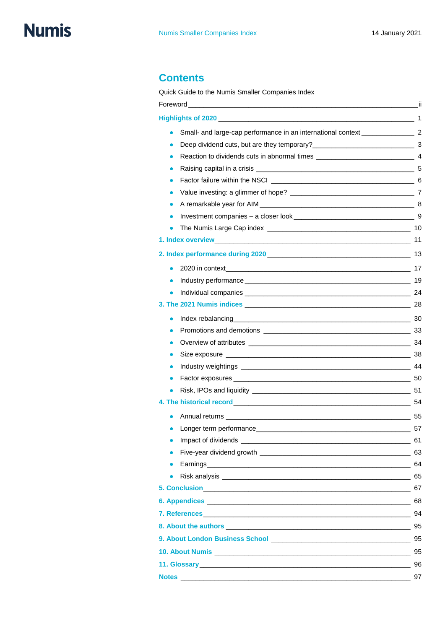## **Contents**

Quick Guide to the Numis Smaller Companies Index

|                                                                                    | -ii |  |  |  |  |
|------------------------------------------------------------------------------------|-----|--|--|--|--|
|                                                                                    |     |  |  |  |  |
| Small- and large-cap performance in an international context ___________________ 2 |     |  |  |  |  |
| Reaction to dividends cuts in abnormal times ___________________________________ 4 |     |  |  |  |  |
|                                                                                    |     |  |  |  |  |
|                                                                                    |     |  |  |  |  |
|                                                                                    |     |  |  |  |  |
|                                                                                    |     |  |  |  |  |
|                                                                                    |     |  |  |  |  |
|                                                                                    |     |  |  |  |  |
|                                                                                    |     |  |  |  |  |
|                                                                                    |     |  |  |  |  |
|                                                                                    |     |  |  |  |  |
| $\bullet$                                                                          |     |  |  |  |  |
|                                                                                    |     |  |  |  |  |
| 3. The 2021 Numis indices 28                                                       |     |  |  |  |  |
|                                                                                    |     |  |  |  |  |
|                                                                                    |     |  |  |  |  |
|                                                                                    |     |  |  |  |  |
|                                                                                    |     |  |  |  |  |
|                                                                                    |     |  |  |  |  |
|                                                                                    |     |  |  |  |  |
|                                                                                    |     |  |  |  |  |
|                                                                                    |     |  |  |  |  |
|                                                                                    |     |  |  |  |  |
|                                                                                    |     |  |  |  |  |
| $\bullet$                                                                          |     |  |  |  |  |
|                                                                                    |     |  |  |  |  |
| Earnings 64                                                                        |     |  |  |  |  |
|                                                                                    |     |  |  |  |  |
|                                                                                    |     |  |  |  |  |
|                                                                                    |     |  |  |  |  |
|                                                                                    |     |  |  |  |  |
|                                                                                    |     |  |  |  |  |
|                                                                                    |     |  |  |  |  |
|                                                                                    |     |  |  |  |  |
|                                                                                    |     |  |  |  |  |
|                                                                                    |     |  |  |  |  |
|                                                                                    |     |  |  |  |  |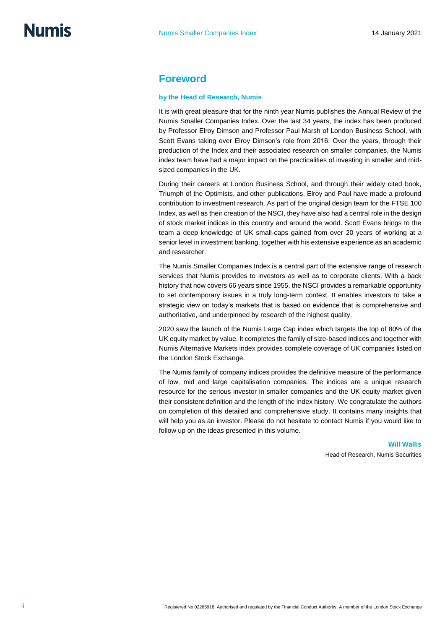### **Foreword**

#### **by the Head of Research, Numis**

It is with great pleasure that for the ninth year Numis publishes the Annual Review of the Numis Smaller Companies Index. Over the last 34 years, the index has been produced by Professor Elroy Dimson and Professor Paul Marsh of London Business School, with Scott Evans taking over Elroy Dimson's role from 2016. Over the years, through their production of the Index and their associated research on smaller companies, the Numis index team have had a major impact on the practicalities of investing in smaller and midsized companies in the UK.

During their careers at London Business School, and through their widely cited book, Triumph of the Optimists, and other publications, Elroy and Paul have made a profound contribution to investment research. As part of the original design team for the FTSE 100 Index, as well as their creation of the NSCI, they have also had a central role in the design of stock market indices in this country and around the world. Scott Evans brings to the team a deep knowledge of UK small-caps gained from over 20 years of working at a senior level in investment banking, together with his extensive experience as an academic and researcher.

The Numis Smaller Companies Index is a central part of the extensive range of research services that Numis provides to investors as well as to corporate clients. With a back history that now covers 66 years since 1955, the NSCI provides a remarkable opportunity to set contemporary issues in a truly long-term context. It enables investors to take a strategic view on today's markets that is based on evidence that is comprehensive and authoritative, and underpinned by research of the highest quality.

2020 saw the launch of the Numis Large Cap index which targets the top of 80% of the UK equity market by value. It completes the family of size-based indices and together with Numis Alternative Markets index provides complete coverage of UK companies listed on the London Stock Exchange.

The Numis family of company indices provides the definitive measure of the performance of low, mid and large capitalisation companies. The indices are a unique research resource for the serious investor in smaller companies and the UK equity market given their consistent definition and the length of the index history. We congratulate the authors on completion of this detailed and comprehensive study. It contains many insights that will help you as an investor. Please do not hesitate to contact Numis if you would like to follow up on the ideas presented in this volume.

> **Will Wallis** Head of Research, Numis Securities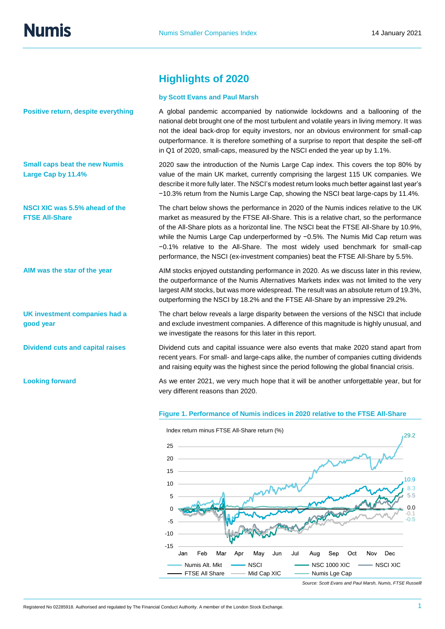**Positive return, despite everything**

**Small caps beat the new Numis Large Cap by 11.4%**

**NSCI XIC was 5.5% ahead of the FTSE All-Share**

**AIM was the star of the year**

**UK investment companies had a good year**

**Dividend cuts and capital raises**

**Looking forward**

## **Highlights of 2020**

#### **by Scott Evans and Paul Marsh**

A global pandemic accompanied by nationwide lockdowns and a ballooning of the national debt brought one of the most turbulent and volatile years in living memory. It was not the ideal back-drop for equity investors, nor an obvious environment for small-cap outperformance. It is therefore something of a surprise to report that despite the sell-off in Q1 of 2020, small-caps, measured by the NSCI ended the year up by 1.1%.

2020 saw the introduction of the Numis Large Cap index. This covers the top 80% by value of the main UK market, currently comprising the largest 115 UK companies. We describe it more fully later. The NSCI's modest return looks much better against last year's −10.3% return from the Numis Large Cap, showing the NSCI beat large-caps by 11.4%.

The chart below shows the performance in 2020 of the Numis indices relative to the UK market as measured by the FTSE All-Share. This is a relative chart, so the performance of the All-Share plots as a horizontal line. The NSCI beat the FTSE All-Share by 10.9%, while the Numis Large Cap underperformed by −0.5%. The Numis Mid Cap return was −0.1% relative to the All-Share. The most widely used benchmark for small-cap performance, the NSCI (ex-investment companies) beat the FTSE All-Share by 5.5%.

AIM stocks enjoyed outstanding performance in 2020. As we discuss later in this review, the outperformance of the Numis Alternatives Markets index was not limited to the very largest AIM stocks, but was more widespread. The result was an absolute return of 19.3%, outperforming the NSCI by 18.2% and the FTSE All-Share by an impressive 29.2%.

The chart below reveals a large disparity between the versions of the NSCI that include and exclude investment companies. A difference of this magnitude is highly unusual, and we investigate the reasons for this later in this report.

Dividend cuts and capital issuance were also events that make 2020 stand apart from recent years. For small- and large-caps alike, the number of companies cutting dividends and raising equity was the highest since the period following the global financial crisis.

As we enter 2021, we very much hope that it will be another unforgettable year, but for very different reasons than 2020.

#### **Figure 1. Performance of Numis indices in 2020 relative to the FTSE All-Share**



*Source: Scott Evans and Paul Marsh, Numis, FTSE Russelll*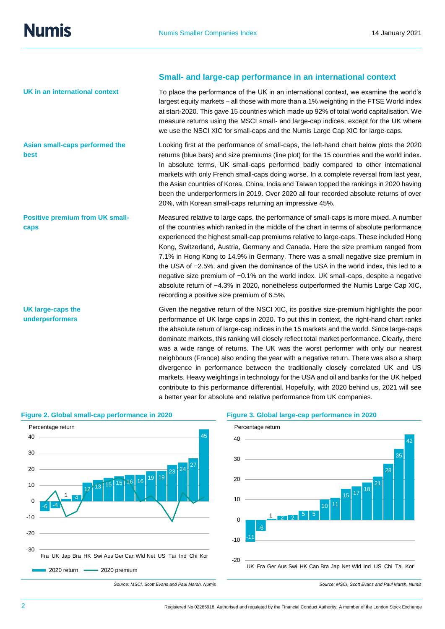**best**

**caps** 

**UK large-caps the underperformers**

**UK in an international context**

**Asian small-caps performed the** 

**Positive premium from UK small-**

**Small- and large-cap performance in an international context**

To place the performance of the UK in an international context, we examine the world's largest equity markets – all those with more than a 1% weighting in the FTSE World index at start-2020. This gave 15 countries which made up 92% of total world capitalisation. We measure returns using the MSCI small- and large-cap indices, except for the UK where we use the NSCI XIC for small-caps and the Numis Large Cap XIC for large-caps.

Looking first at the performance of small-caps, the left-hand chart below plots the 2020 returns (blue bars) and size premiums (line plot) for the 15 countries and the world index. In absolute terms, UK small-caps performed badly compared to other international markets with only French small-caps doing worse. In a complete reversal from last year, the Asian countries of Korea, China, India and Taiwan topped the rankings in 2020 having been the underperformers in 2019. Over 2020 all four recorded absolute returns of over 20%, with Korean small-caps returning an impressive 45%.

Measured relative to large caps, the performance of small-caps is more mixed. A number of the countries which ranked in the middle of the chart in terms of absolute performance experienced the highest small-cap premiums relative to large-caps. These included Hong Kong, Switzerland, Austria, Germany and Canada. Here the size premium ranged from 7.1% in Hong Kong to 14.9% in Germany. There was a small negative size premium in the USA of −2.5%, and given the dominance of the USA in the world index, this led to a negative size premium of −0.1% on the world index. UK small-caps, despite a negative absolute return of −4.3% in 2020, nonetheless outperformed the Numis Large Cap XIC, recording a positive size premium of 6.5%.

Given the negative return of the NSCI XIC, its positive size-premium highlights the poor performance of UK large caps in 2020. To put this in context, the right-hand chart ranks the absolute return of large-cap indices in the 15 markets and the world. Since large-caps dominate markets, this ranking will closely reflect total market performance. Clearly, there was a wide range of returns. The UK was the worst performer with only our nearest neighbours (France) also ending the year with a negative return. There was also a sharp divergence in performance between the traditionally closely correlated UK and US markets. Heavy weightings in technology for the USA and oil and banks for the UK helped contribute to this performance differential. Hopefully, with 2020 behind us, 2021 will see a better year for absolute and relative performance from UK companies.



#### **Figure 2. Global small-cap performance in 2020 Figure 3. Global large-cap performance in 2020**



*Source: MSCI, Scott Evans and Paul Marsh, Numis Source: MSCI, Scott Evans and Paul Marsh, Numis*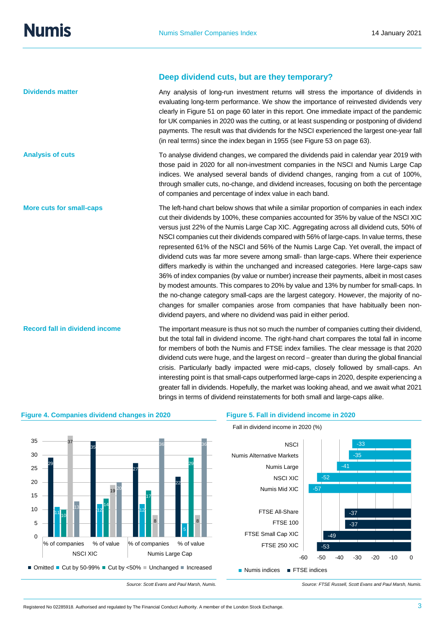**Deep dividend cuts, but are they temporary?**

| <b>Dividends matter</b>               | Any analysis of long-run investment returns will stress the importance of dividends in<br>evaluating long-term performance. We show the importance of reinvested dividends very<br>clearly in Figure 51 on page 60 later in this report. One immediate impact of the pandemic<br>for UK companies in 2020 was the cutting, or at least suspending or postponing of dividend<br>payments. The result was that dividends for the NSCI experienced the largest one-year fall<br>(in real terms) since the index began in 1955 (see Figure 53 on page 63).                                                                                                                                                                                                                                                                                                                                                                                                                                                                                                                                                   |
|---------------------------------------|----------------------------------------------------------------------------------------------------------------------------------------------------------------------------------------------------------------------------------------------------------------------------------------------------------------------------------------------------------------------------------------------------------------------------------------------------------------------------------------------------------------------------------------------------------------------------------------------------------------------------------------------------------------------------------------------------------------------------------------------------------------------------------------------------------------------------------------------------------------------------------------------------------------------------------------------------------------------------------------------------------------------------------------------------------------------------------------------------------|
| <b>Analysis of cuts</b>               | To analyse dividend changes, we compared the dividends paid in calendar year 2019 with<br>those paid in 2020 for all non-investment companies in the NSCI and Numis Large Cap<br>indices. We analysed several bands of dividend changes, ranging from a cut of 100%,<br>through smaller cuts, no-change, and dividend increases, focusing on both the percentage<br>of companies and percentage of index value in each band.                                                                                                                                                                                                                                                                                                                                                                                                                                                                                                                                                                                                                                                                             |
| <b>More cuts for small-caps</b>       | The left-hand chart below shows that while a similar proportion of companies in each index<br>cut their dividends by 100%, these companies accounted for 35% by value of the NSCI XIC<br>versus just 22% of the Numis Large Cap XIC. Aggregating across all dividend cuts, 50% of<br>NSCI companies cut their dividends compared with 56% of large-caps. In value terms, these<br>represented 61% of the NSCI and 56% of the Numis Large Cap. Yet overall, the impact of<br>dividend cuts was far more severe among small- than large-caps. Where their experience<br>differs markedly is within the unchanged and increased categories. Here large-caps saw<br>36% of index companies (by value or number) increase their payments, albeit in most cases<br>by modest amounts. This compares to 20% by value and 13% by number for small-caps. In<br>the no-change category small-caps are the largest category. However, the majority of no-<br>changes for smaller companies arose from companies that have habitually been non-<br>dividend payers, and where no dividend was paid in either period. |
| <b>Record fall in dividend income</b> | The important measure is thus not so much the number of companies cutting their dividend,<br>but the total fall in dividend income. The right-hand chart compares the total fall in income                                                                                                                                                                                                                                                                                                                                                                                                                                                                                                                                                                                                                                                                                                                                                                                                                                                                                                               |

but the total fall in dividend income. The right-hand chart compares the total fall in income for members of both the Numis and FTSE index families. The clear message is that 2020 dividend cuts were huge, and the largest on record – greater than during the global financial crisis. Particularly badly impacted were mid-caps, closely followed by small-caps. An interesting point is that small-caps outperformed large-caps in 2020, despite experiencing a greater fall in dividends. Hopefully, the market was looking ahead, and we await what 2021 brings in terms of dividend reinstatements for both small and large-caps alike.



#### **Figure 4. Companies dividend changes in 2020 Figure 5. Fall in dividend income in 2020**

Fall in dividend income in 2020 (%)

-53 -49 -37 -37 -57 -52 -41 -35 -33 -60 -50 -40 -30 -20 -10 0 FTSE 250 XIC FTSE Small Cap XIC FTSE 100 FTSE All-Share Numis Mid XIC NSCI XIC Numis Large Numis Alternative Markets **NSCI**  $\blacksquare$  Numis indices  $\blacksquare$  FTSE indices

*Source: Scott Evans and Paul Marsh, Numis. Source: FTSE Russell, Scott Evans and Paul Marsh, Numis.*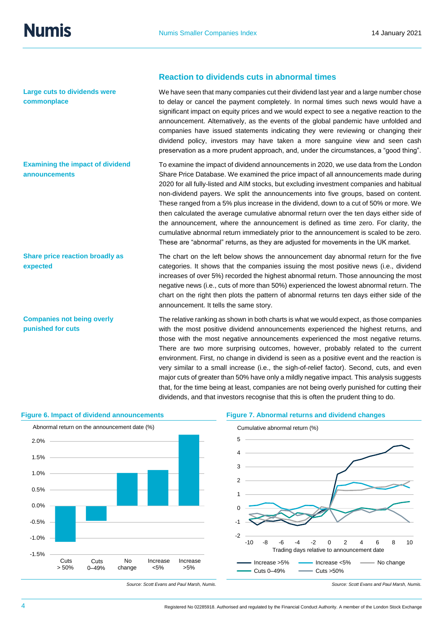**Large cuts to dividends were commonplace** 

**Examining the impact of dividend announcements**

**Share price reaction broadly as expected**

**Companies not being overly punished for cuts**

#### **Reaction to dividends cuts in abnormal times**

We have seen that many companies cut their dividend last year and a large number chose to delay or cancel the payment completely. In normal times such news would have a significant impact on equity prices and we would expect to see a negative reaction to the announcement. Alternatively, as the events of the global pandemic have unfolded and companies have issued statements indicating they were reviewing or changing their dividend policy, investors may have taken a more sanguine view and seen cash preservation as a more prudent approach, and, under the circumstances, a "good thing".

To examine the impact of dividend announcements in 2020, we use data from the London Share Price Database. We examined the price impact of all announcements made during 2020 for all fully-listed and AIM stocks, but excluding investment companies and habitual non-dividend payers. We split the announcements into five groups, based on content. These ranged from a 5% plus increase in the dividend, down to a cut of 50% or more. We then calculated the average cumulative abnormal return over the ten days either side of the announcement, where the announcement is defined as time zero. For clarity, the cumulative abnormal return immediately prior to the announcement is scaled to be zero. These are "abnormal" returns, as they are adjusted for movements in the UK market.

The chart on the left below shows the announcement day abnormal return for the five categories. It shows that the companies issuing the most positive news (i.e., dividend increases of over 5%) recorded the highest abnormal return. Those announcing the most negative news (i.e., cuts of more than 50%) experienced the lowest abnormal return. The chart on the right then plots the pattern of abnormal returns ten days either side of the announcement. It tells the same story.

The relative ranking as shown in both charts is what we would expect, as those companies with the most positive dividend announcements experienced the highest returns, and those with the most negative announcements experienced the most negative returns. There are two more surprising outcomes, however, probably related to the current environment. First, no change in dividend is seen as a positive event and the reaction is very similar to a small increase (i.e., the sigh-of-relief factor). Second, cuts, and even major cuts of greater than 50% have only a mildly negative impact. This analysis suggests that, for the time being at least, companies are not being overly punished for cutting their dividends, and that investors recognise that this is often the prudent thing to do.



#### **Figure 6. Impact of dividend announcements Figure 7. Abnormal returns and dividend changes**



*Source: Scott Evans and Paul Marsh, Numis. Source: Scott Evans and Paul Marsh, Numis.*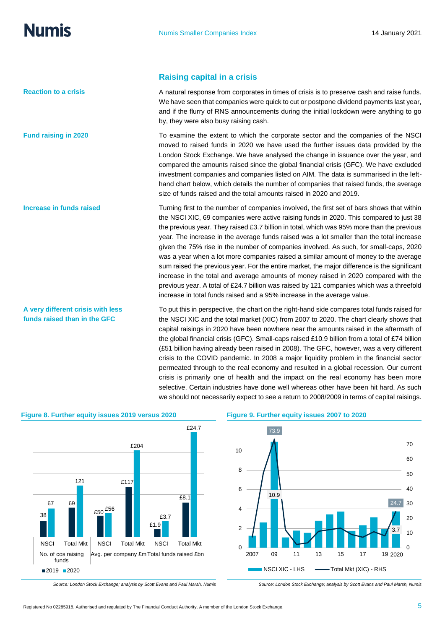**Reaction to a crisis**

**Fund raising in 2020**

**Increase in funds raised**

**funds raised than in the GFC**

#### **Raising capital in a crisis**

A natural response from corporates in times of crisis is to preserve cash and raise funds. We have seen that companies were quick to cut or postpone dividend payments last year, and if the flurry of RNS announcements during the initial lockdown were anything to go by, they were also busy raising cash.

To examine the extent to which the corporate sector and the companies of the NSCI moved to raised funds in 2020 we have used the further issues data provided by the London Stock Exchange. We have analysed the change in issuance over the year, and compared the amounts raised since the global financial crisis (GFC). We have excluded investment companies and companies listed on AIM. The data is summarised in the lefthand chart below, which details the number of companies that raised funds, the average size of funds raised and the total amounts raised in 2020 and 2019.

Turning first to the number of companies involved, the first set of bars shows that within the NSCI XIC, 69 companies were active raising funds in 2020. This compared to just 38 the previous year. They raised £3.7 billion in total, which was 95% more than the previous year. The increase in the average funds raised was a lot smaller than the total increase given the 75% rise in the number of companies involved. As such, for small-caps, 2020 was a year when a lot more companies raised a similar amount of money to the average sum raised the previous year. For the entire market, the major difference is the significant increase in the total and average amounts of money raised in 2020 compared with the previous year. A total of £24.7 billion was raised by 121 companies which was a threefold increase in total funds raised and a 95% increase in the average value.

To put this in perspective, the chart on the right-hand side compares total funds raised for the NSCI XIC and the total market (XIC) from 2007 to 2020. The chart clearly shows that capital raisings in 2020 have been nowhere near the amounts raised in the aftermath of the global financial crisis (GFC). Small-caps raised £10.9 billion from a total of £74 billion (£51 billion having already been raised in 2008). The GFC, however, was a very different crisis to the COVID pandemic. In 2008 a major liquidity problem in the financial sector permeated through to the real economy and resulted in a global recession. Our current crisis is primarily one of health and the impact on the real economy has been more selective. Certain industries have done well whereas other have been hit hard. As such we should not necessarily expect to see a return to 2008/2009 in terms of capital raisings. **A very different crisis with less** 



#### **Figure 8. Further equity issues 2019 versus 2020 Figure 9. Further equity issues 2007 to 2020**

*Source: London Stock Exchange; analysis by Scott Evans and Paul Marsh, Numis Source: London Stock Exchange; analysis by Scott Evans and Paul Marsh, Numis*

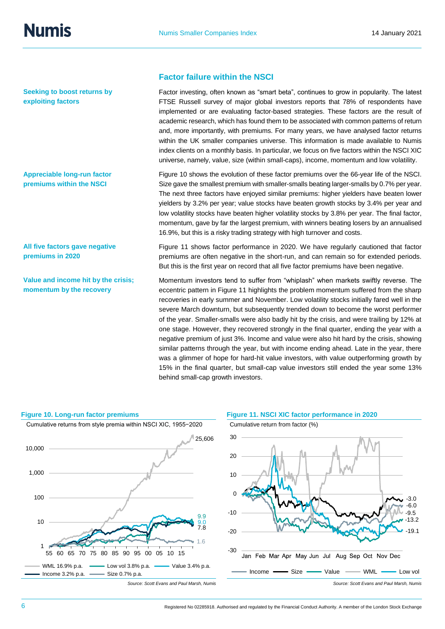**Seeking to boost returns by exploiting factors**

**Appreciable long-run factor premiums within the NSCI**

**All five factors gave negative premiums in 2020**

**Value and income hit by the crisis; momentum by the recovery**

#### **Factor failure within the NSCI**

Factor investing, often known as "smart beta", continues to grow in popularity. The latest FTSE Russell survey of major global investors reports that 78% of respondents have implemented or are evaluating factor-based strategies. These factors are the result of academic research, which has found them to be associated with common patterns of return and, more importantly, with premiums. For many years, we have analysed factor returns within the UK smaller companies universe. This information is made available to Numis index clients on a monthly basis. In particular, we focus on five factors within the NSCI XIC universe, namely, value, size (within small-caps), income, momentum and low volatility.

Figure 10 shows the evolution of these factor premiums over the 66-year life of the NSCI. Size gave the smallest premium with smaller-smalls beating larger-smalls by 0.7% per year. The next three factors have enjoyed similar premiums: higher yielders have beaten lower yielders by 3.2% per year; value stocks have beaten growth stocks by 3.4% per year and low volatility stocks have beaten higher volatility stocks by 3.8% per year. The final factor, momentum, gave by far the largest premium, with winners beating losers by an annualised 16.9%, but this is a risky trading strategy with high turnover and costs.

Figure 11 shows factor performance in 2020. We have regularly cautioned that factor premiums are often negative in the short-run, and can remain so for extended periods. But this is the first year on record that all five factor premiums have been negative.

Momentum investors tend to suffer from "whiplash" when markets swiftly reverse. The eccentric pattern in Figure 11 highlights the problem momentum suffered from the sharp recoveries in early summer and November. Low volatility stocks initially fared well in the severe March downturn, but subsequently trended down to become the worst performer of the year. Smaller-smalls were also badly hit by the crisis, and were trailing by 12% at one stage. However, they recovered strongly in the final quarter, ending the year with a negative premium of just 3%. Income and value were also hit hard by the crisis, showing similar patterns through the year, but with income ending ahead. Late in the year, there was a glimmer of hope for hard-hit value investors, with value outperforming growth by 15% in the final quarter, but small-cap value investors still ended the year some 13% behind small-cap growth investors.



#### **Figure 10. Long-run factor premiums Figure 11. NSCI XIC factor performance in 2020**



6 Registered No 02285918. Authorised and regulated by the Financial Conduct Authority. A member of the London Stock Exchange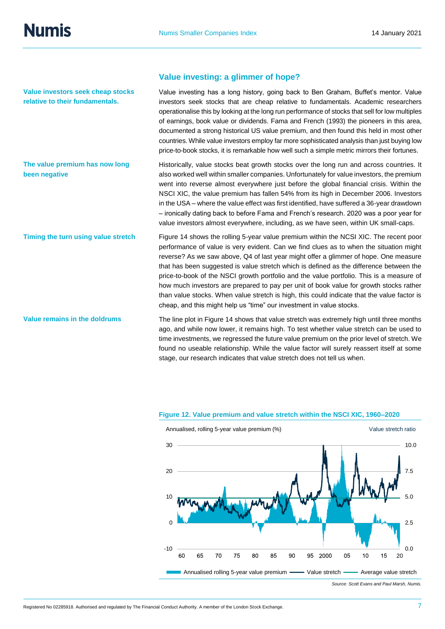**Numis** 

**Value investors seek cheap stocks relative to their fundamentals.**

**The value premium has now long been negative**

#### **Timing the turn using value stretch**

**Value remains in the doldrums**

#### **Value investing: a glimmer of hope?**

Value investing has a long history, going back to Ben Graham, Buffet's mentor. Value investors seek stocks that are cheap relative to fundamentals. Academic researchers operationalise this by looking at the long run performance of stocks that sell for low multiples of earnings, book value or dividends. Fama and French (1993) the pioneers in this area, documented a strong historical US value premium, and then found this held in most other countries. While value investors employ far more sophisticated analysis than just buying low price-to-book stocks, it is remarkable how well such a simple metric mirrors their fortunes.

Historically, value stocks beat growth stocks over the long run and across countries. It also worked well within smaller companies. Unfortunately for value investors, the premium went into reverse almost everywhere just before the global financial crisis. Within the NSCI XIC, the value premium has fallen 54% from its high in December 2006. Investors in the USA – where the value effect was first identified, have suffered a 36-year drawdown – ironically dating back to before Fama and French's research. 2020 was a poor year for value investors almost everywhere, including, as we have seen, within UK small-caps.

Figure 14 shows the rolling 5-year value premium within the NCSI XIC. The recent poor performance of value is very evident. Can we find clues as to when the situation might reverse? As we saw above, Q4 of last year might offer a glimmer of hope. One measure that has been suggested is value stretch which is defined as the difference between the price-to-book of the NSCI growth portfolio and the value portfolio. This is a measure of how much investors are prepared to pay per unit of book value for growth stocks rather than value stocks. When value stretch is high, this could indicate that the value factor is cheap, and this might help us "time" our investment in value stocks.

The line plot in Figure 14 shows that value stretch was extremely high until three months ago, and while now lower, it remains high. To test whether value stretch can be used to time investments, we regressed the future value premium on the prior level of stretch. We found no useable relationship. While the value factor will surely reassert itself at some stage, our research indicates that value stretch does not tell us when.



#### **Figure 12. Value premium and value stretch within the NSCI XIC, 1960–2020**

*Source: Scott Evans and Paul Marsh, Numis.*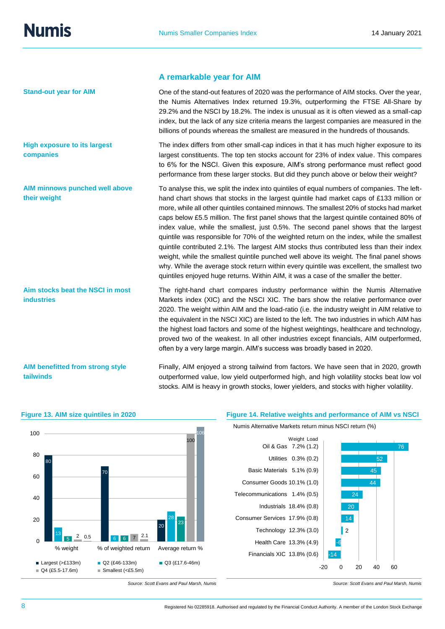**Stand-out year for AIM**

**High exposure to its largest companies**

**AIM minnows punched well above their weight**

**Aim stocks beat the NSCI in most industries**

**AIM benefitted from strong style tailwinds**

#### **A remarkable year for AIM**

One of the stand-out features of 2020 was the performance of AIM stocks. Over the year, the Numis Alternatives Index returned 19.3%, outperforming the FTSE All-Share by 29.2% and the NSCI by 18.2%. The index is unusual as it is often viewed as a small-cap index, but the lack of any size criteria means the largest companies are measured in the billions of pounds whereas the smallest are measured in the hundreds of thousands.

The index differs from other small-cap indices in that it has much higher exposure to its largest constituents. The top ten stocks account for 23% of index value. This compares to 6% for the NSCI. Given this exposure, AIM's strong performance must reflect good performance from these larger stocks. But did they punch above or below their weight?

To analyse this, we split the index into quintiles of equal numbers of companies. The lefthand chart shows that stocks in the largest quintile had market caps of £133 million or more, while all other quintiles contained minnows. The smallest 20% of stocks had market caps below £5.5 million. The first panel shows that the largest quintile contained 80% of index value, while the smallest, just 0.5%. The second panel shows that the largest quintile was responsible for 70% of the weighted return on the index, while the smallest quintile contributed 2.1%. The largest AIM stocks thus contributed less than their index weight, while the smallest quintile punched well above its weight. The final panel shows why. While the average stock return within every quintile was excellent, the smallest two quintiles enjoyed huge returns. Within AIM, it was a case of the smaller the better.

The right-hand chart compares industry performance within the Numis Alternative Markets index (XIC) and the NSCI XIC. The bars show the relative performance over 2020. The weight within AIM and the load-ratio (i.e. the industry weight in AIM relative to the equivalent in the NSCI XIC) are listed to the left. The two industries in which AIM has the highest load factors and some of the highest weightings, healthcare and technology, proved two of the weakest. In all other industries except financials, AIM outperformed, often by a very large margin. AIM's success was broadly based in 2020.

Finally, AIM enjoyed a strong tailwind from factors. We have seen that in 2020, growth outperformed value, low yield outperformed high, and high volatility stocks beat low vol stocks. AIM is heavy in growth stocks, lower yielders, and stocks with higher volatility.



#### **Figure 13. AIM size quintiles in 2020 Figure 14. Relative weights and performance of AIM vs NSCI**

Numis Alternative Markets return minus NSCI return (%)



*Source: Scott Evans and Paul Marsh, Numis Source: Scott Evans and Paul Marsh, Numis*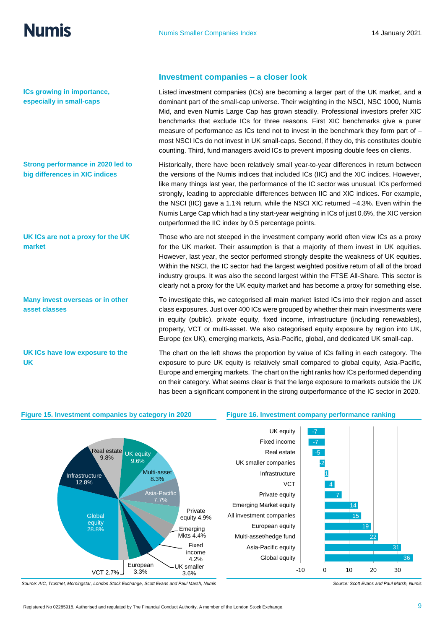**ICs growing in importance, especially in small-caps**

**Strong performance in 2020 led to big differences in XIC indices**

**UK ICs are not a proxy for the UK market**

**Many invest overseas or in other asset classes**

**UK ICs have low exposure to the UK**

#### **Investment companies – a closer look**

Listed investment companies (ICs) are becoming a larger part of the UK market, and a dominant part of the small-cap universe. Their weighting in the NSCI, NSC 1000, Numis Mid, and even Numis Large Cap has grown steadily. Professional investors prefer XIC benchmarks that exclude ICs for three reasons. First XIC benchmarks give a purer measure of performance as ICs tend not to invest in the benchmark they form part of most NSCI ICs do not invest in UK small-caps. Second, if they do, this constitutes double counting. Third, fund managers avoid ICs to prevent imposing double fees on clients.

Historically, there have been relatively small year-to-year differences in return between the versions of the Numis indices that included ICs (IIC) and the XIC indices. However, like many things last year, the performance of the IC sector was unusual. ICs performed strongly, leading to appreciable differences between IIC and XIC indices. For example, the NSCI (IIC) gave a 1.1% return, while the NSCI XIC returned −4.3%. Even within the Numis Large Cap which had a tiny start-year weighting in ICs of just 0.6%, the XIC version outperformed the IIC index by 0.5 percentage points.

Those who are not steeped in the investment company world often view ICs as a proxy for the UK market. Their assumption is that a majority of them invest in UK equities. However, last year, the sector performed strongly despite the weakness of UK equities. Within the NSCI, the IC sector had the largest weighted positive return of all of the broad industry groups. It was also the second largest within the FTSE All-Share. This sector is clearly not a proxy for the UK equity market and has become a proxy for something else.

To investigate this, we categorised all main market listed ICs into their region and asset class exposures. Just over 400 ICs were grouped by whether their main investments were in equity (public), private equity, fixed income, infrastructure (including renewables), property, VCT or multi-asset. We also categorised equity exposure by region into UK, Europe (ex UK), emerging markets, Asia-Pacific, global, and dedicated UK small-cap.

The chart on the left shows the proportion by value of ICs falling in each category. The exposure to pure UK equity is relatively small compared to global equity, Asia-Pacific, Europe and emerging markets. The chart on the right ranks how ICs performed depending on their category. What seems clear is that the large exposure to markets outside the UK has been a significant component in the strong outperformance of the IC sector in 2020.

> Global equity Asia-Pacific equity Multi-asset/hedge fund European equity

Private equity

Infrastructure

Real estate Fixed income

UK smaller companies

**VCT** 

All investment companies Emerging Market equity

#### **Figure 15. Investment companies by category in 2020 Figure 16. Investment company performance ranking**



## UK equity

*Source: AIC, Trustnet, Morningstar, London Stock Exchange, Scott Evans and Paul Marsh, Numis Source: Scott Evans and Paul Marsh, Numis*

7 4 1 -2 -5 -7 -7

-10 0 10 20 30

36

31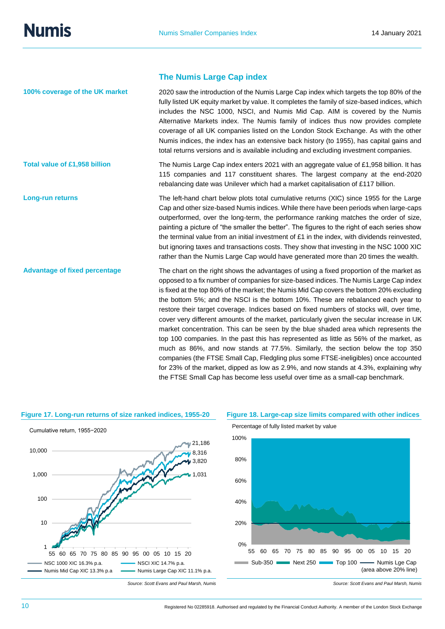#### **The Numis Large Cap index**

2020 saw the introduction of the Numis Large Cap index which targets the top 80% of the fully listed UK equity market by value. It completes the family of size-based indices, which includes the NSC 1000, NSCI, and Numis Mid Cap. AIM is covered by the Numis Alternative Markets index. The Numis family of indices thus now provides complete coverage of all UK companies listed on the London Stock Exchange. As with the other Numis indices, the index has an extensive back history (to 1955), has capital gains and total returns versions and is available including and excluding investment companies. The Numis Large Cap index enters 2021 with an aggregate value of £1,958 billion. It has 115 companies and 117 constituent shares. The largest company at the end-2020 rebalancing date was Unilever which had a market capitalisation of £117 billion. The left-hand chart below plots total cumulative returns (XIC) since 1955 for the Large Cap and other size-based Numis indices. While there have been periods when large-caps outperformed, over the long-term, the performance ranking matches the order of size, painting a picture of "the smaller the better". The figures to the right of each series show the terminal value from an initial investment of  $£1$  in the index, with dividends reinvested. but ignoring taxes and transactions costs. They show that investing in the NSC 1000 XIC rather than the Numis Large Cap would have generated more than 20 times the wealth. The chart on the right shows the advantages of using a fixed proportion of the market as opposed to a fix number of companies for size-based indices. The Numis Large Cap index is fixed at the top 80% of the market; the Numis Mid Cap covers the bottom 20% excluding the bottom 5%; and the NSCI is the bottom 10%. These are rebalanced each year to restore their target coverage. Indices based on fixed numbers of stocks will, over time, cover very different amounts of the market, particularly given the secular increase in UK market concentration. This can be seen by the blue shaded area which represents the top 100 companies. In the past this has represented as little as 56% of the market, as much as 86%, and now stands at 77.5%. Similarly, the section below the top 350 companies (the FTSE Small Cap, Fledgling plus some FTSE-ineligibles) once accounted for 23% of the market, dipped as low as 2.9%, and now stands at 4.3%, explaining why the FTSE Small Cap has become less useful over time as a small-cap benchmark. **100% coverage of the UK market Total value of £1,958 billion Long-run returns Advantage of fixed percentage**



#### **Figure 17. Long-run returns of size ranked indices, 1955-20 Figure 18. Large-cap size limits compared with other indices**

**Source:** Scott Evans and Paul Marsh, Numis Source: Scott Evans and Paul Marsh, Numis Source: Scott Evans and Paul Marsh, Numis 2019 0% 20% 40% 60% 80% 100% 55 60 65 70 75 80 85 90 95 00 05 10 15 20 Sub-350 Next 250 Top 100 - Numis Lge Cap Percentage of fully listed market by value (area above 20% line)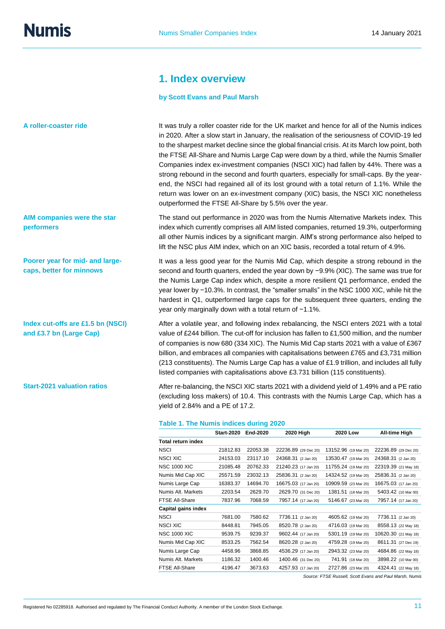## **1. Index overview**

#### **by Scott Evans and Paul Marsh**

It was truly a roller coaster ride for the UK market and hence for all of the Numis indices in 2020. After a slow start in January, the realisation of the seriousness of COVID-19 led to the sharpest market decline since the global financial crisis. At its March low point, both the FTSE All-Share and Numis Large Cap were down by a third, while the Numis Smaller Companies index ex-investment companies (NSCI XIC) had fallen by 44%. There was a strong rebound in the second and fourth quarters, especially for small-caps. By the yearend, the NSCI had regained all of its lost ground with a total return of 1.1%. While the return was lower on an ex-investment company (XIC) basis, the NSCI XIC nonetheless outperformed the FTSE All-Share by 5.5% over the year.

The stand out performance in 2020 was from the Numis Alternative Markets index. This index which currently comprises all AIM listed companies, returned 19.3%, outperforming all other Numis indices by a significant margin. AIM's strong performance also helped to lift the NSC plus AIM index, which on an XIC basis, recorded a total return of 4.9%.

It was a less good year for the Numis Mid Cap, which despite a strong rebound in the second and fourth quarters, ended the year down by −9.9% (XIC). The same was true for the Numis Large Cap index which, despite a more resilient Q1 performance, ended the year lower by −10.3%. In contrast, the "smaller smalls" in the NSC 1000 XIC, while hit the hardest in Q1, outperformed large caps for the subsequent three quarters, ending the year only marginally down with a total return of −1.1%.

After a volatile year, and following index rebalancing, the NSCI enters 2021 with a total value of £244 billion. The cut-off for inclusion has fallen to £1,500 million, and the number of companies is now 680 (334 XIC). The Numis Mid Cap starts 2021 with a value of £367 billion, and embraces all companies with capitalisations between £765 and £3,731 million (213 constituents). The Numis Large Cap has a value of £1.9 trillion, and includes all fully listed companies with capitalisations above £3.731 billion (115 constituents).

After re-balancing, the NSCI XIC starts 2021 with a dividend yield of 1.49% and a PE ratio (excluding loss makers) of 10.4. This contrasts with the Numis Large Cap, which has a yield of 2.84% and a PE of 17.2.

#### **Table 1. The Numis indices during 2020**

|                           | <b>Start-2020</b> | End-2020 | 2020 High            | 2020 Low             | All-time High        |
|---------------------------|-------------------|----------|----------------------|----------------------|----------------------|
| <b>Total return index</b> |                   |          |                      |                      |                      |
| <b>NSCI</b>               | 21812.83          | 22053.38 | 22236.89 (29 Dec 20) | 13152.96 (19 Mar 20) | 22236.89 (29 Dec 20) |
| NSCI XIC                  | 24153.03          | 23117.10 | 24368.31 (2 Jan 20)  | 13530.47 (19 Mar 20) | 24368.31 (2 Jan 20)  |
| <b>NSC 1000 XIC</b>       | 21085.48          | 20762.33 | 21240.23 (17 Jan 20) | 11755.24 (19 Mar 20) | 22319.39 (21 May 18) |
| Numis Mid Cap XIC         | 25571.59          | 23032.13 | 25836.31 (2 Jan 20)  | 14324.52 (19 Mar 20) | 25836.31 (2 Jan 20)  |
| Numis Large Cap           | 16383.37          | 14694.70 | 16675.03 (17 Jan 20) | 10909.59 (23 Mar 20) | 16675.03 (17 Jan 20) |
| Numis Alt. Markets        | 2203.54           | 2629.70  | 2629.70 (31 Dec 20)  | 1381.51 (18 Mar 20)  | 5403.42 (10 Mar 00)  |
| <b>FTSE All-Share</b>     | 7837.96           | 7068.59  | 7957.14 (17 Jan 20)  | 5146.67 (23 Mar 20)  | 7957.14 (17 Jan 20)  |
| Capital gains index       |                   |          |                      |                      |                      |
| NSCI                      | 7681.00           | 7580.62  | 7736.11 (2 Jan 20)   | 4605.62 (19 Mar 20)  | 7736.11 (2 Jan 20)   |
| <b>NSCI XIC</b>           | 8448.81           | 7945.05  | 8520.78 (2 Jan 20)   | 4716.03 (19 Mar 20)  | 8558.13 (22 May 18)  |
| <b>NSC 1000 XIC</b>       | 9539.75           | 9239.37  | 9602.44 (17 Jan 20)  | 5301.19 (19 Mar 20)  | 10620.30 (21 May 18) |
| Numis Mid Cap XIC         | 8533.25           | 7562.54  | 8620.28 (2 Jan 20)   | 4759.28 (19 Mar 20)  | 8611.31 (27 Dec 19)  |
| Numis Large Cap           | 4458.96           | 3868.85  | 4536.29 (17 Jan 20)  | 2943.32 (23 Mar 20)  | 4684.86 (22 May 18)  |
| Numis Alt. Markets        | 1186.32           | 1400.46  | 1400.46 (31 Dec 20)  | 741.91 (18 Mar 20)   | 3898.22 (10 Mar 00)  |
| FTSE All-Share            | 4196.47           | 3673.63  | 4257.93 (17 Jan 20)  | 2727.86 (23 Mar 20)  | 4324.41 (22 May 18)  |
|                           |                   |          |                      |                      |                      |

*Source: FTSE Russell, Scott Evans and Paul Marsh, Numis* 

**AIM companies were the star performers**

**Poorer year for mid- and largecaps, better for minnows**

**Index cut-offs are £1.5 bn (NSCI) and £3.7 bn (Large Cap)**

**Start-2021 valuation ratios**